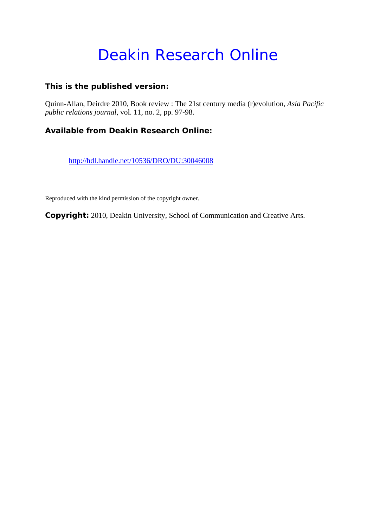# Deakin Research Online

## **This is the published version:**

Quinn-Allan, Deirdre 2010, Book review : The 21st century media (r)evolution*, Asia Pacific public relations journal*, vol. 11, no. 2, pp. 97-98.

# **Available from Deakin Research Online:**

http://hdl.handle.net/10536/DRO/DU:30046008

Reproduced with the kind permission of the copyright owner.

**Copyright:** 2010, Deakin University, School of Communication and Creative Arts.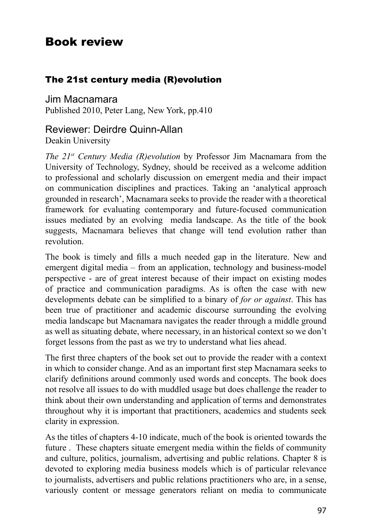# Book review

#### The 21st century media (R)evolution

Jim Macnamara Published 2010, Peter Lang, New York, pp.410

### Reviewer: Deirdre Quinn-Allan

Deakin University

*The 21st Century Media (R)evolution* by Professor Jim Macnamara from the University of Technology, Sydney, should be received as a welcome addition to professional and scholarly discussion on emergent media and their impact on communication disciplines and practices. Taking an 'analytical approach grounded in research', Macnamara seeks to provide the reader with a theoretical framework for evaluating contemporary and future-focused communication issues mediated by an evolving media landscape. As the title of the book suggests, Macnamara believes that change will tend evolution rather than revolution.

The book is timely and fills a much needed gap in the literature. New and emergent digital media – from an application, technology and business-model perspective - are of great interest because of their impact on existing modes of practice and communication paradigms. As is often the case with new developments debate can be simplified to a binary of *for or against*. This has been true of practitioner and academic discourse surrounding the evolving media landscape but Macnamara navigates the reader through a middle ground as well as situating debate, where necessary, in an historical context so we don't forget lessons from the past as we try to understand what lies ahead.

The first three chapters of the book set out to provide the reader with a context in which to consider change. And as an important first step Macnamara seeks to clarify definitions around commonly used words and concepts. The book does not resolve all issues to do with muddled usage but does challenge the reader to think about their own understanding and application of terms and demonstrates throughout why it is important that practitioners, academics and students seek clarity in expression.

As the titles of chapters 4-10 indicate, much of the book is oriented towards the future . These chapters situate emergent media within the fields of community and culture, politics, journalism, advertising and public relations. Chapter 8 is devoted to exploring media business models which is of particular relevance to journalists, advertisers and public relations practitioners who are, in a sense, variously content or message generators reliant on media to communicate